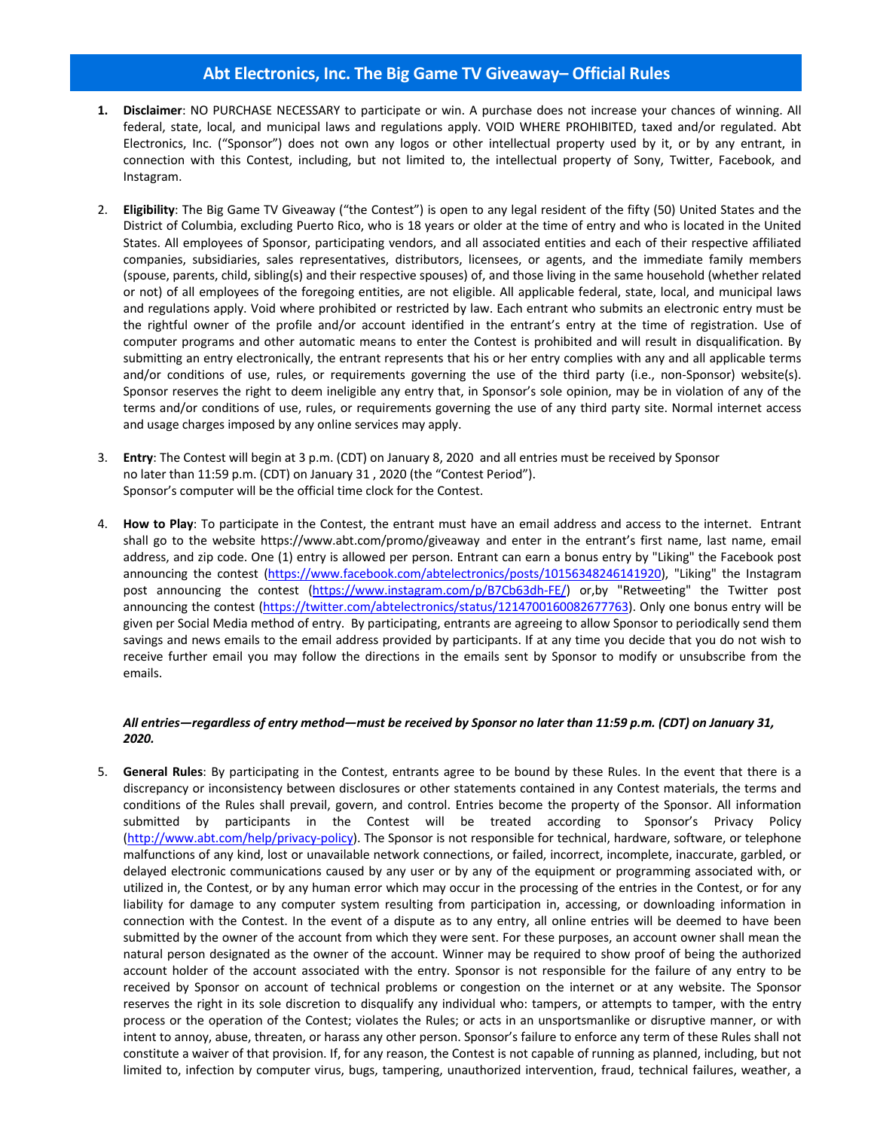## **Abt Electronics, Inc. The Big Game TV Giveaway– Official Rules**

- **1. Disclaimer**: NO PURCHASE NECESSARY to participate or win. A purchase does not increase your chances of winning. All federal, state, local, and municipal laws and regulations apply. VOID WHERE PROHIBITED, taxed and/or regulated. Abt Electronics, Inc. ("Sponsor") does not own any logos or other intellectual property used by it, or by any entrant, in connection with this Contest, including, but not limited to, the intellectual property of Sony, Twitter, Facebook, and Instagram.
- 2. **Eligibility**: The Big Game TV Giveaway ("the Contest") is open to any legal resident of the fifty (50) United States and the District of Columbia, excluding Puerto Rico, who is 18 years or older at the time of entry and who is located in the United States. All employees of Sponsor, participating vendors, and all associated entities and each of their respective affiliated companies, subsidiaries, sales representatives, distributors, licensees, or agents, and the immediate family members (spouse, parents, child, sibling(s) and their respective spouses) of, and those living in the same household (whether related or not) of all employees of the foregoing entities, are not eligible. All applicable federal, state, local, and municipal laws and regulations apply. Void where prohibited or restricted by law. Each entrant who submits an electronic entry must be the rightful owner of the profile and/or account identified in the entrant's entry at the time of registration. Use of computer programs and other automatic means to enter the Contest is prohibited and will result in disqualification. By submitting an entry electronically, the entrant represents that his or her entry complies with any and all applicable terms and/or conditions of use, rules, or requirements governing the use of the third party (i.e., non-Sponsor) website(s). Sponsor reserves the right to deem ineligible any entry that, in Sponsor's sole opinion, may be in violation of any of the terms and/or conditions of use, rules, or requirements governing the use of any third party site. Normal internet access and usage charges imposed by any online services may apply.
- 3. **Entry**: The Contest will begin at 3 p.m. (CDT) on January 8, 2020 and all entries must be received by Sponsor no later than 11:59 p.m. (CDT) on January 31 , 2020 (the "Contest Period"). Sponsor's computer will be the official time clock for the Contest.
- 4. **How to Play**: To participate in the Contest, the entrant must have an email address and access to the internet. Entrant shall go to the website https://www.abt.com/promo/giveaway and enter in the entrant's first name, last name, email address, and zip code. One (1) entry is allowed per person. Entrant can earn a bonus entry by "Liking" the Facebook post announcing the contest (https://www.facebook.com/abtelectronics/posts/10156348246141920), "Liking" the Instagram post announcing the contest (https://www.instagram.com/p/B7Cb63dh-FE/) or,by "Retweeting" the Twitter post announcing the contest (https://twitter.com/abtelectronics/status/1214700160082677763). Only one bonus entry will be given per Social Media method of entry. By participating, entrants are agreeing to allow Sponsor to periodically send them savings and news emails to the email address provided by participants. If at any time you decide that you do not wish to receive further email you may follow the directions in the emails sent by Sponsor to modify or unsubscribe from the emails.

## *All entries—regardless of entry method—must be received by Sponsor no later than 11:59 p.m. (CDT) on January 31, 2020.*

5. **General Rules**: By participating in the Contest, entrants agree to be bound by these Rules. In the event that there is a discrepancy or inconsistency between disclosures or other statements contained in any Contest materials, the terms and conditions of the Rules shall prevail, govern, and control. Entries become the property of the Sponsor. All information submitted by participants in the Contest will be treated according to Sponsor's Privacy Policy (http://www.abt.com/help/privacy-policy). The Sponsor is not responsible for technical, hardware, software, or telephone malfunctions of any kind, lost or unavailable network connections, or failed, incorrect, incomplete, inaccurate, garbled, or delayed electronic communications caused by any user or by any of the equipment or programming associated with, or utilized in, the Contest, or by any human error which may occur in the processing of the entries in the Contest, or for any liability for damage to any computer system resulting from participation in, accessing, or downloading information in connection with the Contest. In the event of a dispute as to any entry, all online entries will be deemed to have been submitted by the owner of the account from which they were sent. For these purposes, an account owner shall mean the natural person designated as the owner of the account. Winner may be required to show proof of being the authorized account holder of the account associated with the entry. Sponsor is not responsible for the failure of any entry to be received by Sponsor on account of technical problems or congestion on the internet or at any website. The Sponsor reserves the right in its sole discretion to disqualify any individual who: tampers, or attempts to tamper, with the entry process or the operation of the Contest; violates the Rules; or acts in an unsportsmanlike or disruptive manner, or with intent to annoy, abuse, threaten, or harass any other person. Sponsor's failure to enforce any term of these Rules shall not constitute a waiver of that provision. If, for any reason, the Contest is not capable of running as planned, including, but not limited to, infection by computer virus, bugs, tampering, unauthorized intervention, fraud, technical failures, weather, a